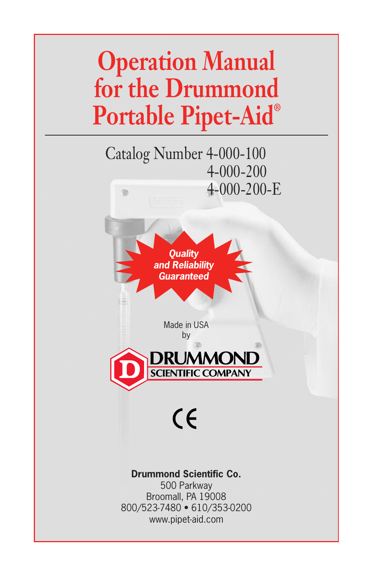# **Operation Manual for the Drummond Portable Pipet-Aid®**

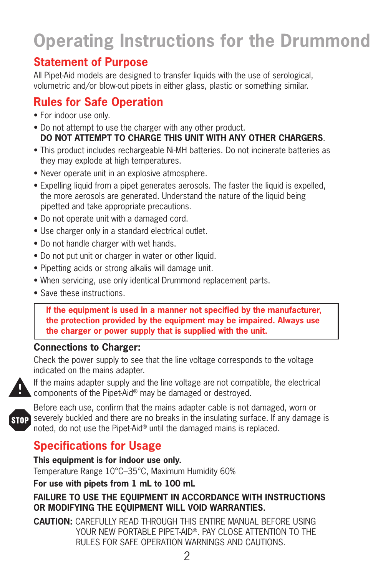## **Operating Instructions for the Drummond**

### **Statement of Purpose**

All Pipet-Aid models are designed to transfer liquids with the use of serological, volumetric and/or blow-out pipets in either glass, plastic or something similar.

## **Rules for Safe Operation**

- For indoor use only.
- Do not attempt to use the charger with any other product. **DO NOT ATTEMPT TO CHARGE THIS UNIT WITH ANY OTHER CHARGERS**.
- This product includes rechargeable Ni-MH batteries. Do not incinerate batteries as they may explode at high temperatures.
- Never operate unit in an explosive atmosphere.
- Expelling liquid from a pipet generates aerosols. The faster the liquid is expelled, the more aerosols are generated. Understand the nature of the liquid being pipetted and take appropriate precautions.
- Do not operate unit with a damaged cord.
- Use charger only in a standard electrical outlet.
- Do not handle charger with wet hands.
- Do not put unit or charger in water or other liquid.
- Pipetting acids or strong alkalis will damage unit.
- When servicing, use only identical Drummond replacement parts.
- Save these instructions.

 **If the equipment is used in a manner not specified by the manufacturer, the protection provided by the equipment may be impaired. Always use the charger or power supply that is supplied with the unit.**

#### **Connections to Charger:**

Check the power supply to see that the line voltage corresponds to the voltage indicated on the mains adapter.



If the mains adapter supply and the line voltage are not compatible, the electrical components of the Pipet-Aid® may be damaged or destroyed.



Before each use, confirm that the mains adapter cable is not damaged, worn or STOP severely buckled and there are no breaks in the insulating surface. If any damage is noted, do not use the Pipet-Aid® until the damaged mains is replaced.

## **Specifications for Usage**

**This equipment is for indoor use only.** Temperature Range 10°C–35°C, Maximum Humidity 60%

**For use with pipets from 1 mL to 100 mL**

#### **FAILURE TO USE THE EQUIPMENT IN ACCORDANCE WITH INSTRUCTIONS OR MODIFYING THE EQUIPMENT WILL VOID WARRANTIES.**

**CAUTION:** CAREFULLY READ THROUGH THIS ENTIRE MANUAL BEFORE USING YOUR NEW PORTABLE PIPET-AID®. PAY CLOSE ATTENTION TO THE RULES FOR SAFE OPERATION WARNINGS AND CAUTIONS.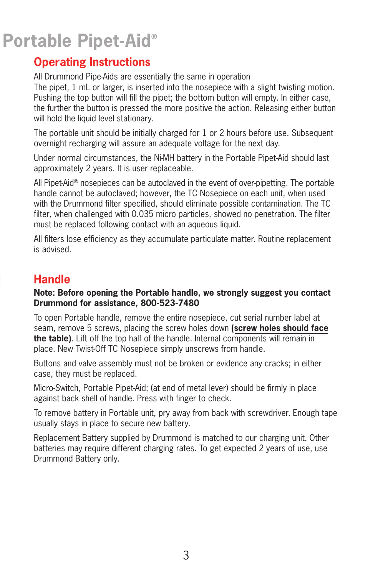## **Portable Pipet-Aid®**

### **Operating Instructions**

All Drummond Pipe-Aids are essentially the same in operation

The pipet, 1 mL or larger, is inserted into the nosepiece with a slight twisting motion. Pushing the top button will fill the pipet; the bottom button will empty. In either case, the further the button is pressed the more positive the action. Releasing either button will hold the liquid level stationary.

The portable unit should be initially charged for 1 or 2 hours before use. Subsequent overnight recharging will assure an adequate voltage for the next day.

Under normal circumstances, the Ni-MH battery in the Portable Pipet-Aid should last approximately 2 years. It is user replaceable.

All Pipet-Aid® nosepieces can be autoclaved in the event of over-pipetting. The portable handle cannot be autoclaved; however, the TC Nosepiece on each unit, when used with the Drummond filter specified, should eliminate possible contamination. The TC filter, when challenged with 0.035 micro particles, showed no penetration. The filter must be replaced following contact with an aqueous liquid.

All filters lose efficiency as they accumulate particulate matter. Routine replacement is advised.

## **Handle**

#### **Note: Before opening the Portable handle, we strongly suggest you contact Drummond for assistance, 800-523-7480**

To open Portable handle, remove the entire nosepiece, cut serial number label at seam, remove 5 screws, placing the screw holes down **(screw holes should face the table)**. Lift off the top half of the handle. Internal components will remain in place. New Twist-Off TC Nosepiece simply unscrews from handle.

Buttons and valve assembly must not be broken or evidence any cracks; in either case, they must be replaced.

Micro-Switch, Portable Pipet-Aid; (at end of metal lever) should be firmly in place against back shell of handle. Press with finger to check.

To remove battery in Portable unit, pry away from back with screwdriver. Enough tape usually stays in place to secure new battery.

Replacement Battery supplied by Drummond is matched to our charging unit. Other batteries may require different charging rates. To get expected 2 years of use, use Drummond Battery only.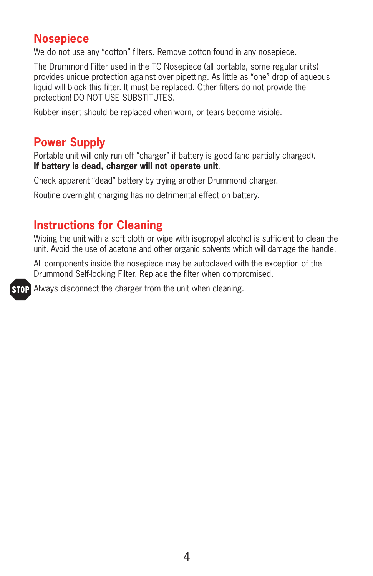### **Nosepiece**

We do not use any "cotton" filters. Remove cotton found in any nosepiece.

The Drummond Filter used in the TC Nosepiece (all portable, some regular units) provides unique protection against over pipetting. As little as "one" drop of aqueous liquid will block this filter. It must be replaced. Other filters do not provide the protection! DO NOT USE SUBSTITUTES.

Rubber insert should be replaced when worn, or tears become visible.

#### **Power Supply**

Portable unit will only run off "charger" if battery is good (and partially charged). **If battery is dead, charger will not operate unit**.

Check apparent "dead" battery by trying another Drummond charger.

Routine overnight charging has no detrimental effect on battery.

#### **Instructions for Cleaning**

Wiping the unit with a soft cloth or wipe with isopropyl alcohol is sufficient to clean the unit. Avoid the use of acetone and other organic solvents which will damage the handle.

All components inside the nosepiece may be autoclaved with the exception of the Drummond Self-locking Filter. Replace the filter when compromised.

**STOP** Always disconnect the charger from the unit when cleaning.

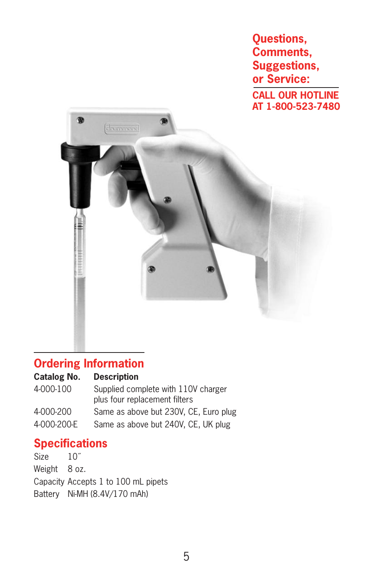**Questions, Comments, Suggestions, or Service: CALL OUR HOTLINE AT 1-800-523-7480**



#### **Ordering Information**

#### **Catalog No. Description**

| 4-000-100   | Supplied complete with 110V charger<br>plus four replacement filters |
|-------------|----------------------------------------------------------------------|
| 4-000-200   | Same as above but 230V, CE, Euro plug                                |
| 4-000-200-E | Same as above but 240V, CE, UK plug                                  |

#### **Specifications**

Size  $10$ " Weight 8 oz. Capacity Accepts 1 to 100 mL pipets Battery Ni-MH (8.4V/170 mAh)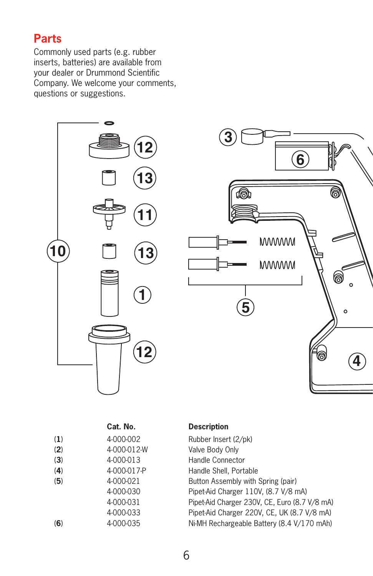#### **Parts**

Commonly used parts (e.g. rubber inserts, batteries) are available from your dealer or Drummond Scientific Company. We welcome your comments, questions or suggestions.



|     | Cat. No.    | <b>Description</b>                            |
|-----|-------------|-----------------------------------------------|
| (1) | 4-000-002   | Rubber Insert (2/pk)                          |
| (2) | 4-000-012-W | Valve Body Only                               |
| (3) | 4-000-013   | Handle Connector                              |
| (4) | 4-000-017-P | Handle Shell, Portable                        |
| (5) | 4-000-021   | Button Assembly with Spring (pair)            |
|     | 4-000-030   | Pipet-Aid Charger 110V, (8.7 V/8 mA)          |
|     | 4-000-031   | Pipet-Aid Charger 230V, CE, Euro (8.7 V/8 mA) |
|     | 4-000-033   | Pipet-Aid Charger 220V, CE, UK (8.7 V/8 mA)   |
| (6) | 4-000-035   | Ni-MH Rechargeable Battery (8.4 V/170 mAh)    |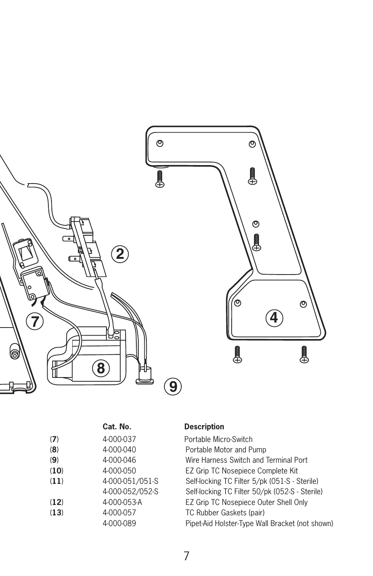

|      | Cat. No.        |
|------|-----------------|
| (7)  | 4-000-037       |
| (8)  | 4-000-040       |
| (9)  | 4-000-046       |
| (10) | 4-000-050       |
| (11) | 4-000-051/051-S |
|      | 4-000-052/052-S |
| (12) | $4-000-053-A$   |
| (13) | 4-000-057       |
|      | 4-000-089       |

#### **Description**

Portable Micro-Switch Portable Motor and Pump Wire Harness Switch and Terminal Port **EZ Grip TC Nosepiece Complete Kit** Self-locking TC Filter 5/pk (051-S - Sterile) Self-locking TC Filter 50/pk (052-S - Sterile) EZ Grip TC Nosepiece Outer Shell Only TC Rubber Gaskets (pair) Pipet-Aid Holster-Type Wall Bracket (not shown)